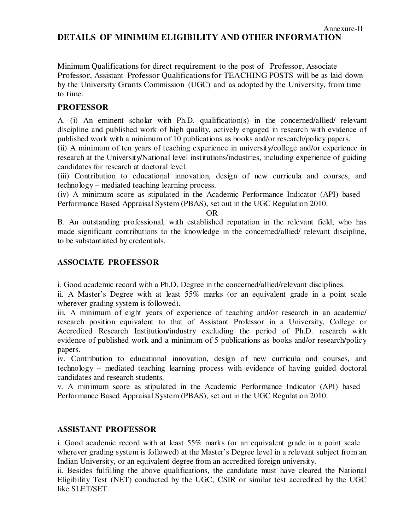# **DETAILS OF MINIMUM ELIGIBILITY AND OTHER INFORMATION**

Annexure-II

Minimum Qualifications for direct requirement to the post of Professor, Associate Professor, Assistant Professor Qualifications for TEACHING POSTS will be as laid down by the University Grants Commission (UGC) and as adopted by the University, from time to time.

# **PROFESSOR**

A. (i) An eminent scholar with Ph.D. qualification(s) in the concerned/allied/ relevant discipline and published work of high quality, actively engaged in research with evidence of published work with a minimum of 10 publications as books and/or research/policy papers.

(ii) A minimum of ten years of teaching experience in university/college and/or experience in research at the University/National level institutions/industries, including experience of guiding candidates for research at doctoral level.

(iii) Contribution to educational innovation, design of new curricula and courses, and technology – mediated teaching learning process.

(iv) A minimum score as stipulated in the Academic Performance Indicator (API) based Performance Based Appraisal System (PBAS), set out in the UGC Regulation 2010.

OR

B. An outstanding professional, with established reputation in the relevant field, who has made significant contributions to the knowledge in the concerned/allied/ relevant discipline, to be substantiated by credentials.

# **ASSOCIATE PROFESSOR**

i. Good academic record with a Ph.D. Degree in the concerned/allied/relevant disciplines.

ii. A Master's Degree with at least 55% marks (or an equivalent grade in a point scale wherever grading system is followed).

iii. A minimum of eight years of experience of teaching and/or research in an academic/ research position equivalent to that of Assistant Professor in a University, College or Accredited Research Institution/industry excluding the period of Ph.D. research with evidence of published work and a minimum of 5 publications as books and/or research/policy papers.

iv. Contribution to educational innovation, design of new curricula and courses, and technology – mediated teaching learning process with evidence of having guided doctoral candidates and research students.

v. A minimum score as stipulated in the Academic Performance Indicator (API) based Performance Based Appraisal System (PBAS), set out in the UGC Regulation 2010.

### **ASSISTANT PROFESSOR**

i. Good academic record with at least 55% marks (or an equivalent grade in a point scale wherever grading system is followed) at the Master's Degree level in a relevant subject from an Indian University, or an equivalent degree from an accredited foreign university.

ii. Besides fulfilling the above qualifications, the candidate must have cleared the National Eligibility Test (NET) conducted by the UGC, CSIR or similar test accredited by the UGC like SLET/SET.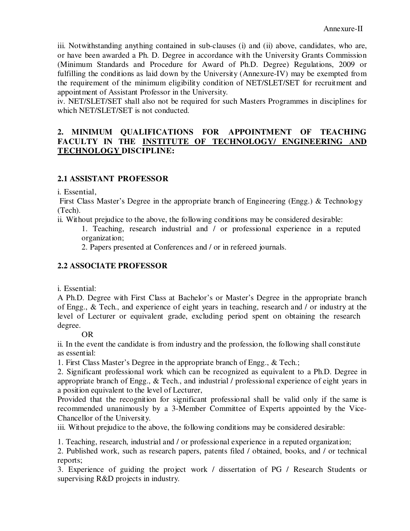iii. Notwithstanding anything contained in sub-clauses (i) and (ii) above, candidates, who are, or have been awarded a Ph. D. Degree in accordance with the University Grants Commission (Minimum Standards and Procedure for Award of Ph.D. Degree) Regulations, 2009 or fulfilling the conditions as laid down by the University (Annexure-IV) may be exempted from the requirement of the minimum eligibility condition of NET/SLET/SET for recruitment and appointment of Assistant Professor in the University.

iv. NET/SLET/SET shall also not be required for such Masters Programmes in disciplines for which NET/SLET/SET is not conducted.

#### **2. MINIMUM QUALIFICATIONS FOR APPOINTMENT OF TEACHING FACULTY IN THE INSTITUTE OF TECHNOLOGY/ ENGINEERING AND TECHNOLOGY DISCIPLINE:**

# **2.1 ASSISTANT PROFESSOR**

i. Essential,

First Class Master's Degree in the appropriate branch of Engineering (Engg.) & Technology (Tech).

- ii. Without prejudice to the above, the following conditions may be considered desirable:
	- 1. Teaching, research industrial and / or professional experience in a reputed organization;
		- 2. Papers presented at Conferences and / or in refereed journals.

# **2.2 ASSOCIATE PROFESSOR**

i. Essential:

A Ph.D. Degree with First Class at Bachelor's or Master's Degree in the appropriate branch of Engg., & Tech., and experience of eight years in teaching, research and / or industry at the level of Lecturer or equivalent grade, excluding period spent on obtaining the research degree.

### OR

ii. In the event the candidate is from industry and the profession, the following shall constitute as essential:

1. First Class Master's Degree in the appropriate branch of Engg., & Tech.;

2. Significant professional work which can be recognized as equivalent to a Ph.D. Degree in appropriate branch of Engg., & Tech., and industrial / professional experience of eight years in a position equivalent to the level of Lecturer,

Provided that the recognition for significant professional shall be valid only if the same is recommended unanimously by a 3-Member Committee of Experts appointed by the Vice-Chancellor of the University.

iii. Without prejudice to the above, the following conditions may be considered desirable:

1. Teaching, research, industrial and / or professional experience in a reputed organization;

2. Published work, such as research papers, patents filed / obtained, books, and / or technical reports;

3. Experience of guiding the project work / dissertation of PG / Research Students or supervising R&D projects in industry.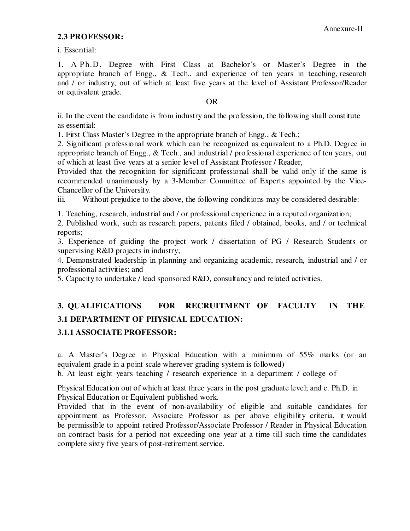#### **2.3 PROFESSOR:**

i. Essential:

1. A Ph.D. Degree with First Class at Bachelor's or Master's Degree in the appropriate branch of Engg., & Tech., and experience of ten years in teaching, research and / or industry, out of which at least five years at the level of Assistant Professor/Reader or equivalent grade.

#### OR

ii. In the event the candidate is from industry and the profession, the following shall constitute as essential:

1. First Class Master's Degree in the appropriate branch of Engg., & Tech.;

2. Significant professional work which can be recognized as equivalent to a Ph.D. Degree in appropriate branch of Engg., & Tech., and industrial / professional experience of ten years, out of which at least five years at a senior level of Assistant Professor / Reader,

Provided that the recognition for significant professional shall be valid only if the same is recommended unanimously by a 3-Member Committee of Experts appointed by the Vice-Chancellor of the University.

iii. Without prejudice to the above, the following conditions may be considered desirable:

1. Teaching, research, industrial and / or professional experience in a reputed organization;

2. Published work, such as research papers, patents filed / obtained, books, and / or technical reports;

3. Experience of guiding the project work / dissertation of PG / Research Students or supervising R&D projects in industry;

4. Demonstrated leadership in planning and organizing academic, research, industrial and / or professional activities; and

5. Capacity to undertake / lead sponsored R&D, consultancy and related activities.

# **3. QUALIFICATIONS FOR RECRUITMENT OF FACULTY IN THE 3.1 DEPARTMENT OF PHYSICAL EDUCATION:**

### **3.1.1 ASSOCIATE PROFESSOR:**

a. A Master's Degree in Physical Education with a minimum of 55% marks (or an equivalent grade in a point scale wherever grading system is followed)

b. At least eight years teaching / research experience in a department / college of

Physical Education out of which at least three years in the post graduate level; and c. Ph.D. in Physical Education or Equivalent published work.

Provided that in the event of non-availability of eligible and suitable candidates for appointment as Professor, Associate Professor as per above eligibility criteria, it would be permissible to appoint retired Professor/Associate Professor / Reader in Physical Education on contract basis for a period not exceeding one year at a time till such time the candidates complete sixty five years of post-retirement service.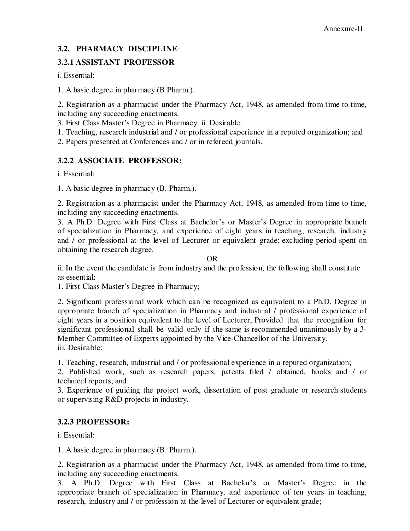# **3.2. PHARMACY DISCIPLINE**:

# **3.2.1 ASSISTANT PROFESSOR**

i. Essential:

1. A basic degree in pharmacy (B.Pharm.).

2. Registration as a pharmacist under the Pharmacy Act, 1948, as amended from time to time, including any succeeding enactments.

3. First Class Master's Degree in Pharmacy. ii. Desirable:

1. Teaching, research industrial and / or professional experience in a reputed organization; and

2. Papers presented at Conferences and / or in refereed journals.

# **3.2.2 ASSOCIATE PROFESSOR:**

i. Essential:

1. A basic degree in pharmacy (B. Pharm.).

2. Registration as a pharmacist under the Pharmacy Act, 1948, as amended from time to time, including any succeeding enactments.

3. A Ph.D. Degree with First Class at Bachelor's or Master's Degree in appropriate branch of specialization in Pharmacy, and experience of eight years in teaching, research, industry and / or professional at the level of Lecturer or equivalent grade; excluding period spent on obtaining the research degree.

OR

ii. In the event the candidate is from industry and the profession, the following shall constitute as essential:

1. First Class Master's Degree in Pharmacy;

2. Significant professional work which can be recognized as equivalent to a Ph.D. Degree in appropriate branch of specialization in Pharmacy and industrial / professional experience of eight years in a position equivalent to the level of Lecturer, Provided that the recognition for significant professional shall be valid only if the same is recommended unanimously by a 3- Member Committee of Experts appointed by the Vice-Chancellor of the University. iii. Desirable:

1. Teaching, research, industrial and / or professional experience in a reputed organization;

2. Published work, such as research papers, patents filed / obtained, books and / or technical reports; and

3. Experience of guiding the project work, dissertation of post graduate or research students or supervising R&D projects in industry.

# **3.2.3 PROFESSOR:**

i. Essential:

1. A basic degree in pharmacy (B. Pharm.).

2. Registration as a pharmacist under the Pharmacy Act, 1948, as amended from time to time, including any succeeding enactments.

3. A Ph.D. Degree with First Class at Bachelor's or Master's Degree in the appropriate branch of specialization in Pharmacy, and experience of ten years in teaching, research, industry and / or profession at the level of Lecturer or equivalent grade;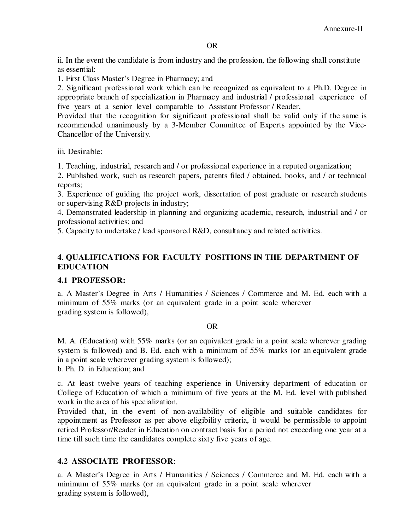#### OR

ii. In the event the candidate is from industry and the profession, the following shall constitute as essential:

1. First Class Master's Degree in Pharmacy; and

2. Significant professional work which can be recognized as equivalent to a Ph.D. Degree in appropriate branch of specialization in Pharmacy and industrial / professional experience of five years at a senior level comparable to Assistant Professor / Reader,

Provided that the recognition for significant professional shall be valid only if the same is recommended unanimously by a 3-Member Committee of Experts appointed by the Vice-Chancellor of the University.

iii. Desirable:

1. Teaching, industrial, research and / or professional experience in a reputed organization;

2. Published work, such as research papers, patents filed / obtained, books, and / or technical reports;

3. Experience of guiding the project work, dissertation of post graduate or research students or supervising R&D projects in industry;

4. Demonstrated leadership in planning and organizing academic, research, industrial and / or professional activities; and

5. Capacity to undertake / lead sponsored R&D, consultancy and related activities.

# **4**. **QUALIFICATIONS FOR FACULTY POSITIONS IN THE DEPARTMENT OF EDUCATION**

### **4.1 PROFESSOR:**

a. A Master's Degree in Arts / Humanities / Sciences / Commerce and M. Ed. each with a minimum of 55% marks (or an equivalent grade in a point scale wherever grading system is followed),

### OR

M. A. (Education) with 55% marks (or an equivalent grade in a point scale wherever grading system is followed) and B. Ed. each with a minimum of 55% marks (or an equivalent grade in a point scale wherever grading system is followed);

b. Ph. D. in Education; and

c. At least twelve years of teaching experience in University department of education or College of Education of which a minimum of five years at the M. Ed. level with published work in the area of his specialization.

Provided that, in the event of non-availability of eligible and suitable candidates for appointment as Professor as per above eligibility criteria, it would be permissible to appoint retired Professor/Reader in Education on contract basis for a period not exceeding one year at a time till such time the candidates complete sixty five years of age.

# **4.2 ASSOCIATE PROFESSOR**:

a. A Master's Degree in Arts / Humanities / Sciences / Commerce and M. Ed. each with a minimum of 55% marks (or an equivalent grade in a point scale wherever grading system is followed),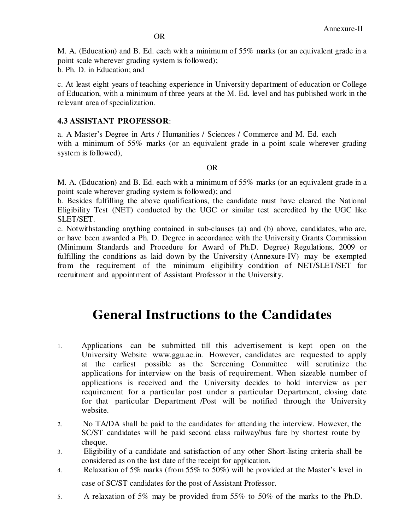M. A. (Education) and B. Ed. each with a minimum of 55% marks (or an equivalent grade in a point scale wherever grading system is followed);

b. Ph. D. in Education; and

c. At least eight years of teaching experience in University department of education or College of Education, with a minimum of three years at the M. Ed. level and has published work in the relevant area of specialization.

### **4.3 ASSISTANT PROFESSOR**:

a. A Master's Degree in Arts / Humanities / Sciences / Commerce and M. Ed. each with a minimum of 55% marks (or an equivalent grade in a point scale wherever grading system is followed),

#### OR

M. A. (Education) and B. Ed. each with a minimum of 55% marks (or an equivalent grade in a point scale wherever grading system is followed); and

b. Besides fulfilling the above qualifications, the candidate must have cleared the National Eligibility Test (NET) conducted by the UGC or similar test accredited by the UGC like SLET/SET.

c. Notwithstanding anything contained in sub-clauses (a) and (b) above, candidates, who are, or have been awarded a Ph. D. Degree in accordance with the University Grants Commission (Minimum Standards and Procedure for Award of Ph.D. Degree) Regulations, 2009 or fulfilling the conditions as laid down by the University (Annexure-IV) may be exempted from the requirement of the minimum eligibility condition of NET/SLET/SET for recruitment and appointment of Assistant Professor in the University.

# **General Instructions to the Candidates**

- 1. Applications can be submitted till this advertisement is kept open on the University Website www.ggu.ac.in. However, candidates are requested to apply at the earliest possible as the Screening Committee will scrutinize the applications for interview on the basis of requirement. When sizeable number of applications is received and the University decides to hold interview as per requirement for a particular post under a particular Department, closing date for that particular Department /Post will be notified through the University website.
- 2. No TA/DA shall be paid to the candidates for attending the interview. However, the SC/ST candidates will be paid second class railway/bus fare by shortest route by cheque.
- 3. Eligibility of a candidate and satisfaction of any other Short-listing criteria shall be considered as on the last date of the receipt for application.
- 4. Relaxation of 5% marks (from 55% to 50%) will be provided at the Master's level in case of SC/ST candidates for the post of Assistant Professor.
- 5. A relaxation of 5% may be provided from 55% to 50% of the marks to the Ph.D.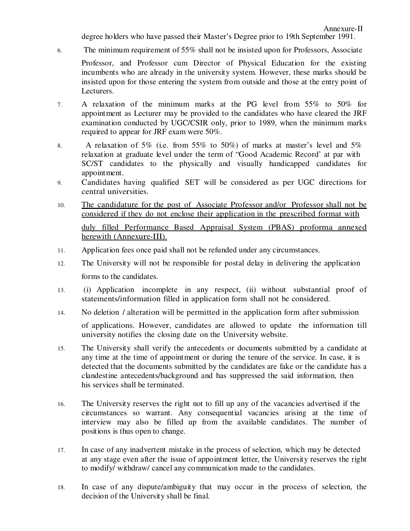degree holders who have passed their Master's Degree prior to 19th September 1991.

6. The minimum requirement of 55% shall not be insisted upon for Professors, Associate

Professor, and Professor cum Director of Physical Education for the existing incumbents who are already in the university system. However, these marks should be insisted upon for those entering the system from outside and those at the entry point of Lecturers.

- 7. A relaxation of the minimum marks at the PG level from 55% to 50% for appointment as Lecturer may be provided to the candidates who have cleared the JRF examination conducted by UGC/CSIR only, prior to 1989, when the minimum marks required to appear for JRF exam were 50%.
- 8. A relaxation of 5% (i.e. from 55% to 50%) of marks at master's level and 5% relaxation at graduate level under the term of "Good Academic Record' at par with SC/ST candidates to the physically and visually handicapped candidates for appointment.
- 9. Candidates having qualified SET will be considered as per UGC directions for central universities.
- 10. The candidature for the post of Associate Professor and/or Professor shall not be considered if they do not enclose their application in the prescribed format with duly filled Performance Based Appraisal System (PBAS) proforma annexed herewith (Annexure-III).
- 11. Application fees once paid shall not be refunded under any circumstances.
- 12. The University will not be responsible for postal delay in delivering the application forms to the candidates.
- 13. (i) Application incomplete in any respect, (ii) without substantial proof of statements/information filled in application form shall not be considered.
- 14. No deletion / alteration will be permitted in the application form after submission of applications. However, candidates are allowed to update the information till university notifies the closing date on the University website.
- 15. The University shall verify the antecedents or documents submitted by a candidate at any time at the time of appointment or during the tenure of the service. In case, it is detected that the documents submitted by the candidates are fake or the candidate has a clandestine antecedents/background and has suppressed the said information, then his services shall be terminated.
- 16. The University reserves the right not to fill up any of the vacancies advertised if the circumstances so warrant. Any consequential vacancies arising at the time of interview may also be filled up from the available candidates. The number of positions is thus open to change.
- 17. In case of any inadvertent mistake in the process of selection, which may be detected at any stage even after the issue of appointment letter, the University reserves the right to modify/ withdraw/ cancel any communication made to the candidates.
- 18. In case of any dispute/ambiguity that may occur in the process of selection, the decision of the University shall be final.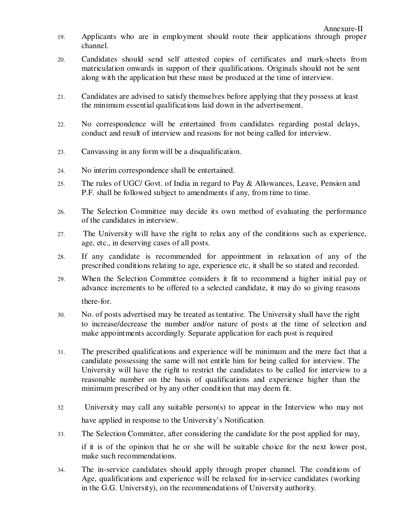- 19. Applicants who are in employment should route their applications through proper channel.
- 20. Candidates should send self attested copies of certificates and mark-sheets from matriculation onwards in support of their qualifications. Originals should not be sent along with the application but these must be produced at the time of interview.
- 21. Candidates are advised to satisfy themselves before applying that they possess at least the minimum essential qualifications laid down in the advertisement.
- 22. No correspondence will be entertained from candidates regarding postal delays, conduct and result of interview and reasons for not being called for interview.
- 23. Canvassing in any form will be a disqualification.
- 24. No interim correspondence shall be entertained.
- 25. The rules of UGC/ Govt. of India in regard to Pay & Allowances, Leave, Pension and P.F. shall be followed subject to amendments if any, from time to time.
- 26. The Selection Committee may decide its own method of evaluating the performance of the candidates in interview.
- 27. The University will have the right to relax any of the conditions such as experience, age, etc., in deserving cases of all posts.
- 28. If any candidate is recommended for appointment in relaxation of any of the prescribed conditions relating to age, experience etc, it shall be so stated and recorded.
- 29. When the Selection Committee considers it fit to recommend a higher initial pay or advance increments to be offered to a selected candidate, it may do so giving reasons there-for.
- 30. No. of posts advertised may be treated as tentative. The University shall have the right to increase/decrease the number and/or nature of posts at the time of selection and make appointments accordingly. Separate application for each post is required
- 31. The prescribed qualifications and experience will be minimum and the mere fact that a candidate possessing the same will not entitle him for being called for interview. The University will have the right to restrict the candidates to be called for interview to a reasonable number on the basis of qualifications and experience higher than the minimum prescribed or by any other condition that may deem fit.
- 32 University may call any suitable person(s) to appear in the Interview who may not have applied in response to the University's Notification.
- 33. The Selection Committee, after considering the candidate for the post applied for may, if it is of the opinion that he or she will be suitable choice for the next lower post, make such recommendations.
- 34. The in-service candidates should apply through proper channel. The conditions of Age, qualifications and experience will be relaxed for in-service candidates (working in the G.G. University), on the recommendations of University authority.